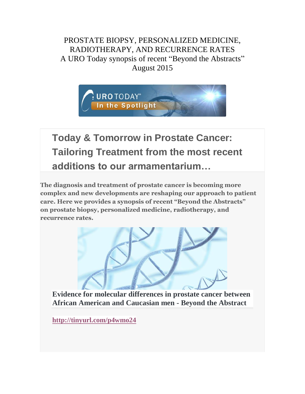PROSTATE BIOPSY, PERSONALIZED MEDICINE, RADIOTHERAPY, AND RECURRENCE RATES A URO Today synopsis of recent "Beyond the Abstracts" August 2015



**Today & Tomorrow in Prostate Cancer: Tailoring Treatment from the most recent additions to our armamentarium…**

**The diagnosis and treatment of prostate cancer is becoming more complex and new developments are reshaping our approach to patient care. Here we provides a synopsis of recent "Beyond the Abstracts" on prostate biopsy, personalized medicine, radiotherapy, and recurrence rates.**



**Evidence for molecular differences in prostate cancer between African American and Caucasian men - Beyond the Abstract**

**<http://tinyurl.com/p4wmo24>**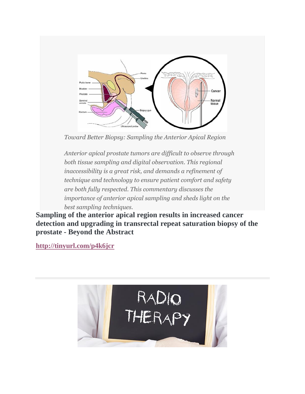

*Toward Better Biopsy: Sampling the Anterior Apical Region*

*Anterior apical prostate tumors are difficult to observe through both tissue sampling and digital observation. This regional inaccessibility is a great risk, and demands a refinement of technique and technology to ensure patient comfort and safety are both fully respected. This commentary discusses the importance of anterior apical sampling and sheds light on the best sampling techniques.*

**Sampling of the anterior apical region results in increased cancer detection and upgrading in transrectal repeat saturation biopsy of the prostate - Beyond the Abstract**

**<http://tinyurl.com/p4k6jcr>**